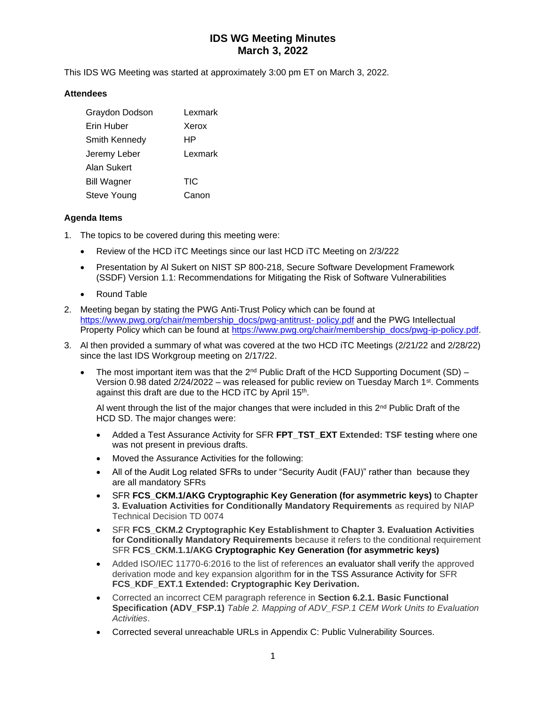This IDS WG Meeting was started at approximately 3:00 pm ET on March 3, 2022.

### **Attendees**

| Graydon Dodson       | Lexmark |
|----------------------|---------|
| Erin Huber           | Xerox   |
| <b>Smith Kennedy</b> | ΗP      |
| Jeremy Leber         | Lexmark |
| Alan Sukert          |         |
| <b>Bill Wagner</b>   | TIC     |
| Steve Young          | Canon   |

### **Agenda Items**

- 1. The topics to be covered during this meeting were:
	- Review of the HCD iTC Meetings since our last HCD iTC Meeting on 2/3/222
	- Presentation by Al Sukert on NIST SP 800-218, Secure Software Development Framework (SSDF) Version 1.1: Recommendations for Mitigating the Risk of Software Vulnerabilities
	- Round Table
- 2. Meeting began by stating the PWG Anti-Trust Policy which can be found at [https://www.pwg.org/chair/membership\\_docs/pwg-antitrust-](https://www.pwg.org/chair/membership_docs/pwg-antitrust-%20policy.pdf) policy.pdf and the PWG Intellectual Property Policy which can be found at [https://www.pwg.org/chair/membership\\_docs/pwg-ip-policy.pdf.](https://www.pwg.org/chair/membership_docs/pwg-ip-policy.pdf)
- 3. Al then provided a summary of what was covered at the two HCD iTC Meetings (2/21/22 and 2/28/22) since the last IDS Workgroup meeting on 2/17/22.
	- The most important item was that the  $2^{nd}$  Public Draft of the HCD Supporting Document (SD) Version 0.98 dated  $2/24/2022$  – was released for public review on Tuesday March 1st. Comments against this draft are due to the HCD iTC by April 15<sup>th</sup>.

Al went through the list of the major changes that were included in this  $2<sup>nd</sup>$  Public Draft of the HCD SD. The major changes were:

- Added a Test Assurance Activity for SFR **FPT\_TST\_EXT Extended: TSF testing** where one was not present in previous drafts.
- Moved the Assurance Activities for the following:
- All of the Audit Log related SFRs to under "Security Audit (FAU)" rather than because they are all mandatory SFRs
- SFR **FCS\_CKM.1/AKG Cryptographic Key Generation (for asymmetric keys)** to **Chapter 3. Evaluation Activities for Conditionally Mandatory Requirements** as required by NIAP Technical Decision TD 0074
- SFR **FCS\_CKM.2 Cryptographic Key Establishment** to **Chapter 3. Evaluation Activities for Conditionally Mandatory Requirements** because it refers to the conditional requirement SFR **FCS\_CKM.1.1/AKG Cryptographic Key Generation (for asymmetric keys)**
- Added ISO/IEC 11770-6:2016 to the list of references an evaluator shall verify the approved derivation mode and key expansion algorithm for in the TSS Assurance Activity for SFR **FCS\_KDF\_EXT.1 Extended: Cryptographic Key Derivation.**
- Corrected an incorrect CEM paragraph reference in **Section 6.2.1. Basic Functional Specification (ADV\_FSP.1)** *Table 2. Mapping of ADV\_FSP.1 CEM Work Units to Evaluation Activities*.
- Corrected several unreachable URLs in Appendix C: Public Vulnerability Sources.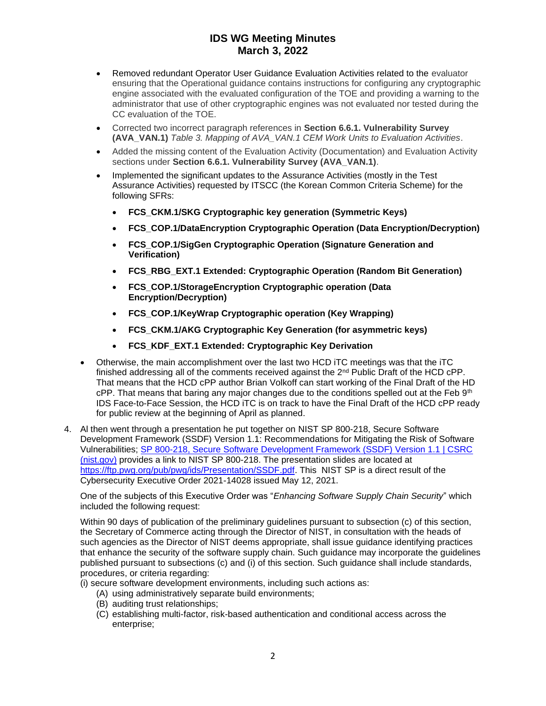- Removed redundant Operator User Guidance Evaluation Activities related to the evaluator ensuring that the Operational guidance contains instructions for configuring any cryptographic engine associated with the evaluated configuration of the TOE and providing a warning to the administrator that use of other cryptographic engines was not evaluated nor tested during the CC evaluation of the TOE.
- Corrected two incorrect paragraph references in **Section 6.6.1. Vulnerability Survey (AVA\_VAN.1)** *Table 3. Mapping of AVA\_VAN.1 CEM Work Units to Evaluation Activities*.
- Added the missing content of the Evaluation Activity (Documentation) and Evaluation Activity sections under **Section 6.6.1. Vulnerability Survey (AVA\_VAN.1)**.
- Implemented the significant updates to the Assurance Activities (mostly in the Test Assurance Activities) requested by ITSCC (the Korean Common Criteria Scheme) for the following SFRs:
	- **FCS\_CKM.1/SKG Cryptographic key generation (Symmetric Keys)**
	- **FCS\_COP.1/DataEncryption Cryptographic Operation (Data Encryption/Decryption)**
	- **FCS\_COP.1/SigGen Cryptographic Operation (Signature Generation and Verification)**
	- **FCS\_RBG\_EXT.1 Extended: Cryptographic Operation (Random Bit Generation)**
	- **FCS\_COP.1/StorageEncryption Cryptographic operation (Data Encryption/Decryption)**
	- **FCS\_COP.1/KeyWrap Cryptographic operation (Key Wrapping)**
	- **FCS\_CKM.1/AKG Cryptographic Key Generation (for asymmetric keys)**
	- **FCS\_KDF\_EXT.1 Extended: Cryptographic Key Derivation**
- Otherwise, the main accomplishment over the last two HCD iTC meetings was that the iTC finished addressing all of the comments received against the  $2<sup>nd</sup>$  Public Draft of the HCD cPP. That means that the HCD cPP author Brian Volkoff can start working of the Final Draft of the HD  $cPP$ . That means that baring any major changes due to the conditions spelled out at the Feb  $9<sup>th</sup>$ IDS Face-to-Face Session, the HCD iTC is on track to have the Final Draft of the HCD cPP ready for public review at the beginning of April as planned.
- 4. Al then went through a presentation he put together on NIST SP 800-218, Secure Software Development Framework (SSDF) Version 1.1: Recommendations for Mitigating the Risk of Software Vulnerabilities; [SP 800-218, Secure Software Development Framework \(SSDF\) Version 1.1 | CSRC](https://csrc.nist.gov/publications/detail/sp/800-218/final)  [\(nist.gov\)](https://csrc.nist.gov/publications/detail/sp/800-218/final) provides a link to NIST SP 800-218. The presentation slides are located at [https://ftp.pwg.org/pub/pwg/ids/Presentation/SSDF.pdf.](https://ftp.pwg.org/pub/pwg/ids/Presentation/SSDF.pdf) This NIST SP is a direct result of the Cybersecurity Executive Order 2021-14028 issued May 12, 2021.

One of the subjects of this Executive Order was "*Enhancing Software Supply Chain Security*" which included the following request:

Within 90 days of publication of the preliminary guidelines pursuant to subsection (c) of this section, the Secretary of Commerce acting through the Director of NIST, in consultation with the heads of such agencies as the Director of NIST deems appropriate, shall issue guidance identifying practices that enhance the security of the software supply chain. Such guidance may incorporate the guidelines published pursuant to subsections (c) and (i) of this section. Such guidance shall include standards, procedures, or criteria regarding:

- (i) secure software development environments, including such actions as:
	- (A) using administratively separate build environments;
	- (B) auditing trust relationships;
	- (C) establishing multi-factor, risk-based authentication and conditional access across the enterprise;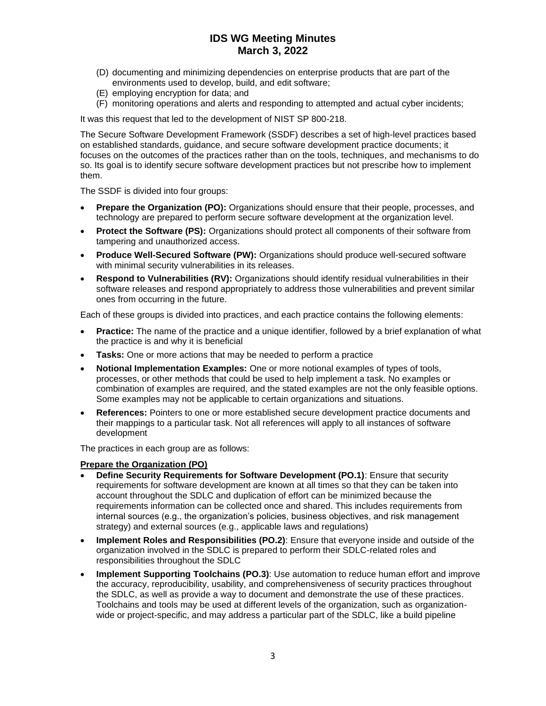- (D) documenting and minimizing dependencies on enterprise products that are part of the environments used to develop, build, and edit software;
- (E) employing encryption for data; and
- (F) monitoring operations and alerts and responding to attempted and actual cyber incidents;

It was this request that led to the development of NIST SP 800-218.

The Secure Software Development Framework (SSDF) describes a set of high-level practices based on established standards, guidance, and secure software development practice documents; it focuses on the outcomes of the practices rather than on the tools, techniques, and mechanisms to do so. Its goal is to identify secure software development practices but not prescribe how to implement them.

The SSDF is divided into four groups:

- **Prepare the Organization (PO):** Organizations should ensure that their people, processes, and technology are prepared to perform secure software development at the organization level.
- **Protect the Software (PS):** Organizations should protect all components of their software from tampering and unauthorized access.
- **Produce Well-Secured Software (PW):** Organizations should produce well-secured software with minimal security vulnerabilities in its releases.
- **Respond to Vulnerabilities (RV):** Organizations should identify residual vulnerabilities in their software releases and respond appropriately to address those vulnerabilities and prevent similar ones from occurring in the future.

Each of these groups is divided into practices, and each practice contains the following elements:

- **Practice:** The name of the practice and a unique identifier, followed by a brief explanation of what the practice is and why it is beneficial
- **Tasks:** One or more actions that may be needed to perform a practice
- **Notional Implementation Examples:** One or more notional examples of types of tools, processes, or other methods that could be used to help implement a task. No examples or combination of examples are required, and the stated examples are not the only feasible options. Some examples may not be applicable to certain organizations and situations.
- **References:** Pointers to one or more established secure development practice documents and their mappings to a particular task. Not all references will apply to all instances of software development

The practices in each group are as follows:

#### **Prepare the Organization (PO)**

- **Define Security Requirements for Software Development (PO.1)**: Ensure that security requirements for software development are known at all times so that they can be taken into account throughout the SDLC and duplication of effort can be minimized because the requirements information can be collected once and shared. This includes requirements from internal sources (e.g., the organization's policies, business objectives, and risk management strategy) and external sources (e.g., applicable laws and regulations)
- **Implement Roles and Responsibilities (PO.2)**: Ensure that everyone inside and outside of the organization involved in the SDLC is prepared to perform their SDLC-related roles and responsibilities throughout the SDLC
- **Implement Supporting Toolchains (PO.3)**: Use automation to reduce human effort and improve the accuracy, reproducibility, usability, and comprehensiveness of security practices throughout the SDLC, as well as provide a way to document and demonstrate the use of these practices. Toolchains and tools may be used at different levels of the organization, such as organizationwide or project-specific, and may address a particular part of the SDLC, like a build pipeline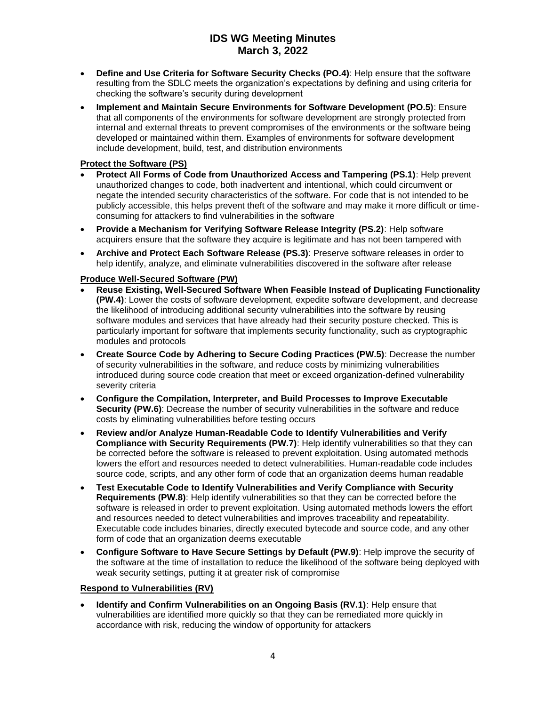- **Define and Use Criteria for Software Security Checks (PO.4)**: Help ensure that the software resulting from the SDLC meets the organization's expectations by defining and using criteria for checking the software's security during development
- **Implement and Maintain Secure Environments for Software Development (PO.5)**: Ensure that all components of the environments for software development are strongly protected from internal and external threats to prevent compromises of the environments or the software being developed or maintained within them. Examples of environments for software development include development, build, test, and distribution environments

## **Protect the Software (PS)**

- **Protect All Forms of Code from Unauthorized Access and Tampering (PS.1)**: Help prevent unauthorized changes to code, both inadvertent and intentional, which could circumvent or negate the intended security characteristics of the software. For code that is not intended to be publicly accessible, this helps prevent theft of the software and may make it more difficult or timeconsuming for attackers to find vulnerabilities in the software
- **Provide a Mechanism for Verifying Software Release Integrity (PS.2)**: Help software acquirers ensure that the software they acquire is legitimate and has not been tampered with
- **Archive and Protect Each Software Release (PS.3)**: Preserve software releases in order to help identify, analyze, and eliminate vulnerabilities discovered in the software after release

## **Produce Well-Secured Software (PW)**

- **Reuse Existing, Well-Secured Software When Feasible Instead of Duplicating Functionality (PW.4)**: Lower the costs of software development, expedite software development, and decrease the likelihood of introducing additional security vulnerabilities into the software by reusing software modules and services that have already had their security posture checked. This is particularly important for software that implements security functionality, such as cryptographic modules and protocols
- **Create Source Code by Adhering to Secure Coding Practices (PW.5)**: Decrease the number of security vulnerabilities in the software, and reduce costs by minimizing vulnerabilities introduced during source code creation that meet or exceed organization-defined vulnerability severity criteria
- **Configure the Compilation, Interpreter, and Build Processes to Improve Executable Security (PW.6)**: Decrease the number of security vulnerabilities in the software and reduce costs by eliminating vulnerabilities before testing occurs
- **Review and/or Analyze Human-Readable Code to Identify Vulnerabilities and Verify Compliance with Security Requirements (PW.7)**: Help identify vulnerabilities so that they can be corrected before the software is released to prevent exploitation. Using automated methods lowers the effort and resources needed to detect vulnerabilities. Human-readable code includes source code, scripts, and any other form of code that an organization deems human readable
- **Test Executable Code to Identify Vulnerabilities and Verify Compliance with Security Requirements (PW.8)**: Help identify vulnerabilities so that they can be corrected before the software is released in order to prevent exploitation. Using automated methods lowers the effort and resources needed to detect vulnerabilities and improves traceability and repeatability. Executable code includes binaries, directly executed bytecode and source code, and any other form of code that an organization deems executable
- **Configure Software to Have Secure Settings by Default (PW.9)**: Help improve the security of the software at the time of installation to reduce the likelihood of the software being deployed with weak security settings, putting it at greater risk of compromise

#### **Respond to Vulnerabilities (RV)**

**Identify and Confirm Vulnerabilities on an Ongoing Basis (RV.1): Help ensure that** vulnerabilities are identified more quickly so that they can be remediated more quickly in accordance with risk, reducing the window of opportunity for attackers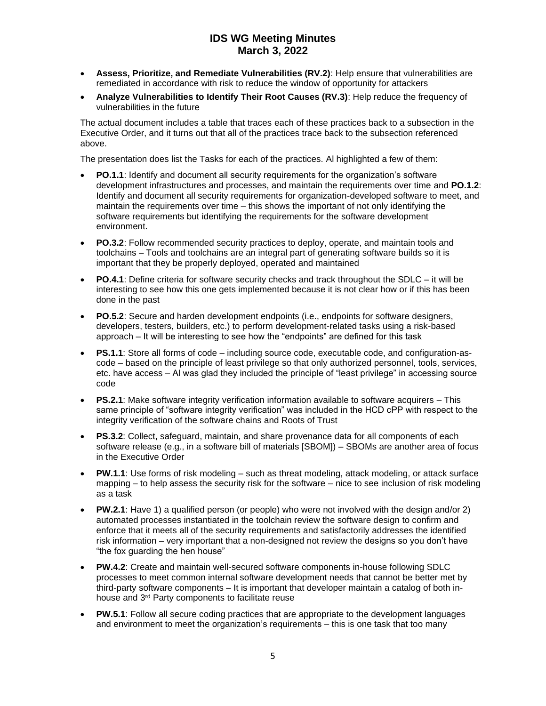- **Assess, Prioritize, and Remediate Vulnerabilities (RV.2)**: Help ensure that vulnerabilities are remediated in accordance with risk to reduce the window of opportunity for attackers
- **Analyze Vulnerabilities to Identify Their Root Causes (RV.3)**: Help reduce the frequency of vulnerabilities in the future

The actual document includes a table that traces each of these practices back to a subsection in the Executive Order, and it turns out that all of the practices trace back to the subsection referenced above.

The presentation does list the Tasks for each of the practices. Al highlighted a few of them:

- **PO.1.1**: Identify and document all security requirements for the organization's software development infrastructures and processes, and maintain the requirements over time and **PO.1.2**: Identify and document all security requirements for organization-developed software to meet, and maintain the requirements over time – this shows the important of not only identifying the software requirements but identifying the requirements for the software development environment.
- **PO.3.2**: Follow recommended security practices to deploy, operate, and maintain tools and toolchains – Tools and toolchains are an integral part of generating software builds so it is important that they be properly deployed, operated and maintained
- **PO.4.1**: Define criteria for software security checks and track throughout the SDLC it will be interesting to see how this one gets implemented because it is not clear how or if this has been done in the past
- **PO.5.2**: Secure and harden development endpoints (i.e., endpoints for software designers, developers, testers, builders, etc.) to perform development-related tasks using a risk-based approach – It will be interesting to see how the "endpoints" are defined for this task
- **PS.1.1**: Store all forms of code including source code, executable code, and configuration-ascode – based on the principle of least privilege so that only authorized personnel, tools, services, etc. have access – Al was glad they included the principle of "least privilege" in accessing source code
- **PS.2.1**: Make software integrity verification information available to software acquirers This same principle of "software integrity verification" was included in the HCD cPP with respect to the integrity verification of the software chains and Roots of Trust
- **PS.3.2**: Collect, safeguard, maintain, and share provenance data for all components of each software release (e.g., in a software bill of materials [SBOM]) – SBOMs are another area of focus in the Executive Order
- **PW.1.1**: Use forms of risk modeling such as threat modeling, attack modeling, or attack surface mapping – to help assess the security risk for the software – nice to see inclusion of risk modeling as a task
- **PW.2.1**: Have 1) a qualified person (or people) who were not involved with the design and/or 2) automated processes instantiated in the toolchain review the software design to confirm and enforce that it meets all of the security requirements and satisfactorily addresses the identified risk information – very important that a non-designed not review the designs so you don't have "the fox guarding the hen house"
- **PW.4.2**: Create and maintain well-secured software components in-house following SDLC processes to meet common internal software development needs that cannot be better met by third-party software components – It is important that developer maintain a catalog of both inhouse and 3rd Party components to facilitate reuse
- **PW.5.1**: Follow all secure coding practices that are appropriate to the development languages and environment to meet the organization's requirements – this is one task that too many